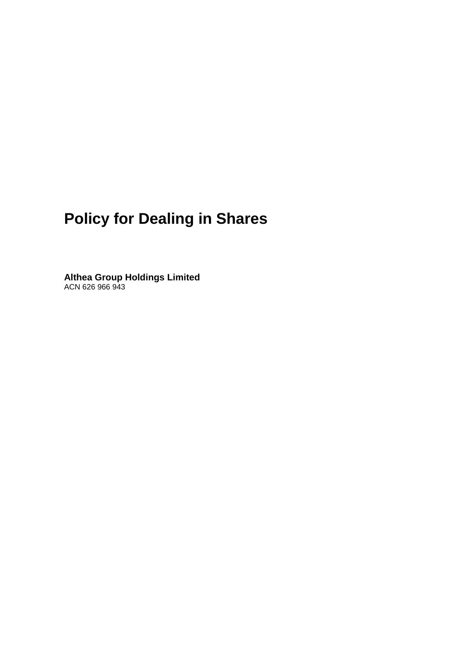# **Policy for Dealing in Shares**

**Althea Group Holdings Limited** ACN 626 966 943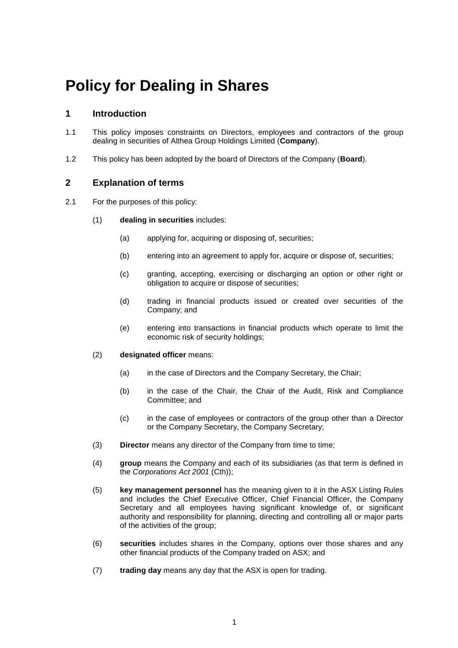## **Policy for Dealing in Shares**

#### **1 Introduction**

- 1.1 This policy imposes constraints on Directors, employees and contractors of the group dealing in securities of Althea Group Holdings Limited (**Company**).
- 1.2 This policy has been adopted by the board of Directors of the Company (**Board**).

#### **2 Explanation of terms**

- 2.1 For the purposes of this policy:
	- (1) **dealing in securities** includes:
		- (a) applying for, acquiring or disposing of, securities;
		- (b) entering into an agreement to apply for, acquire or dispose of, securities;
		- (c) granting, accepting, exercising or discharging an option or other right or obligation to acquire or dispose of securities;
		- (d) trading in financial products issued or created over securities of the Company; and
		- (e) entering into transactions in financial products which operate to limit the economic risk of security holdings;
	- (2) **designated officer** means:
		- (a) in the case of Directors and the Company Secretary, the Chair;
		- (b) in the case of the Chair, the Chair of the Audit, Risk and Compliance Committee; and
		- (c) in the case of employees or contractors of the group other than a Director or the Company Secretary, the Company Secretary;
	- (3) **Director** means any director of the Company from time to time;
	- (4) **group** means the Company and each of its subsidiaries (as that term is defined in the *Corporations Act 2001* (Cth));
	- (5) **key management personnel** has the meaning given to it in the ASX Listing Rules and includes the Chief Executive Officer, Chief Financial Officer, the Company Secretary and all employees having significant knowledge of, or significant authority and responsibility for planning, directing and controlling all or major parts of the activities of the group;
	- (6) **securities** includes shares in the Company, options over those shares and any other financial products of the Company traded on ASX; and
	- (7) **trading day** means any day that the ASX is open for trading.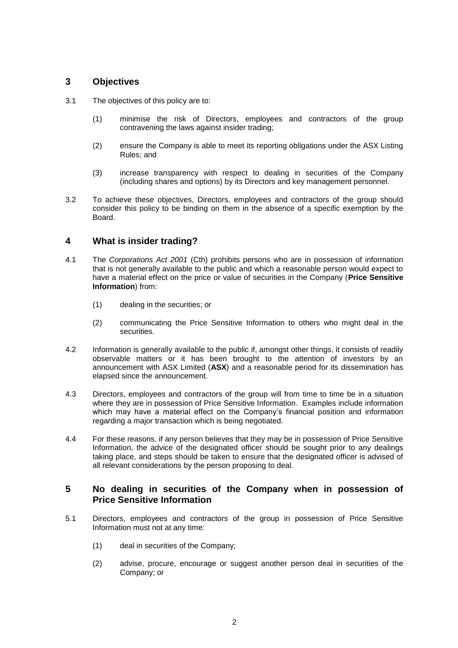#### **3 Objectives**

- 3.1 The objectives of this policy are to:
	- (1) minimise the risk of Directors, employees and contractors of the group contravening the laws against insider trading;
	- (2) ensure the Company is able to meet its reporting obligations under the ASX Listing Rules; and
	- (3) increase transparency with respect to dealing in securities of the Company (including shares and options) by its Directors and key management personnel.
- 3.2 To achieve these objectives, Directors, employees and contractors of the group should consider this policy to be binding on them in the absence of a specific exemption by the Board.

#### **4 What is insider trading?**

- 4.1 The *Corporations Act 2001* (Cth) prohibits persons who are in possession of information that is not generally available to the public and which a reasonable person would expect to have a material effect on the price or value of securities in the Company (**Price Sensitive Information**) from:
	- (1) dealing in the securities; or
	- (2) communicating the Price Sensitive Information to others who might deal in the securities.
- 4.2 Information is generally available to the public if, amongst other things, it consists of readily observable matters or it has been brought to the attention of investors by an announcement with ASX Limited (**ASX**) and a reasonable period for its dissemination has elapsed since the announcement.
- 4.3 Directors, employees and contractors of the group will from time to time be in a situation where they are in possession of Price Sensitive Information. Examples include information which may have a material effect on the Company's financial position and information regarding a major transaction which is being negotiated.
- 4.4 For these reasons, if any person believes that they may be in possession of Price Sensitive Information, the advice of the designated officer should be sought prior to any dealings taking place, and steps should be taken to ensure that the designated officer is advised of all relevant considerations by the person proposing to deal.

#### <span id="page-2-0"></span>**5 No dealing in securities of the Company when in possession of Price Sensitive Information**

- 5.1 Directors, employees and contractors of the group in possession of Price Sensitive Information must not at any time:
	- (1) deal in securities of the Company;
	- (2) advise, procure, encourage or suggest another person deal in securities of the Company; or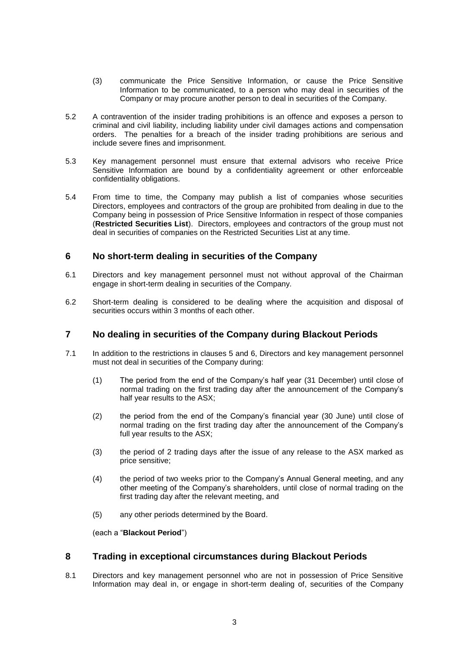- (3) communicate the Price Sensitive Information, or cause the Price Sensitive Information to be communicated, to a person who may deal in securities of the Company or may procure another person to deal in securities of the Company.
- 5.2 A contravention of the insider trading prohibitions is an offence and exposes a person to criminal and civil liability, including liability under civil damages actions and compensation orders. The penalties for a breach of the insider trading prohibitions are serious and include severe fines and imprisonment.
- 5.3 Key management personnel must ensure that external advisors who receive Price Sensitive Information are bound by a confidentiality agreement or other enforceable confidentiality obligations.
- 5.4 From time to time, the Company may publish a list of companies whose securities Directors, employees and contractors of the group are prohibited from dealing in due to the Company being in possession of Price Sensitive Information in respect of those companies (**Restricted Securities List**). Directors, employees and contractors of the group must not deal in securities of companies on the Restricted Securities List at any time.

#### <span id="page-3-0"></span>**6 No short-term dealing in securities of the Company**

- 6.1 Directors and key management personnel must not without approval of the Chairman engage in short-term dealing in securities of the Company.
- 6.2 Short-term dealing is considered to be dealing where the acquisition and disposal of securities occurs within 3 months of each other.

#### **7 No dealing in securities of the Company during Blackout Periods**

- 7.1 In addition to the restrictions in clauses [5](#page-2-0) and [6,](#page-3-0) Directors and key management personnel must not deal in securities of the Company during:
	- (1) The period from the end of the Company's half year (31 December) until close of normal trading on the first trading day after the announcement of the Company's half year results to the ASX;
	- (2) the period from the end of the Company's financial year (30 June) until close of normal trading on the first trading day after the announcement of the Company's full year results to the ASX;
	- (3) the period of 2 trading days after the issue of any release to the ASX marked as price sensitive;
	- (4) the period of two weeks prior to the Company's Annual General meeting, and any other meeting of the Company's shareholders, until close of normal trading on the first trading day after the relevant meeting, and
	- (5) any other periods determined by the Board.

(each a "**Blackout Period**")

#### **8 Trading in exceptional circumstances during Blackout Periods**

8.1 Directors and key management personnel who are not in possession of Price Sensitive Information may deal in, or engage in short-term dealing of, securities of the Company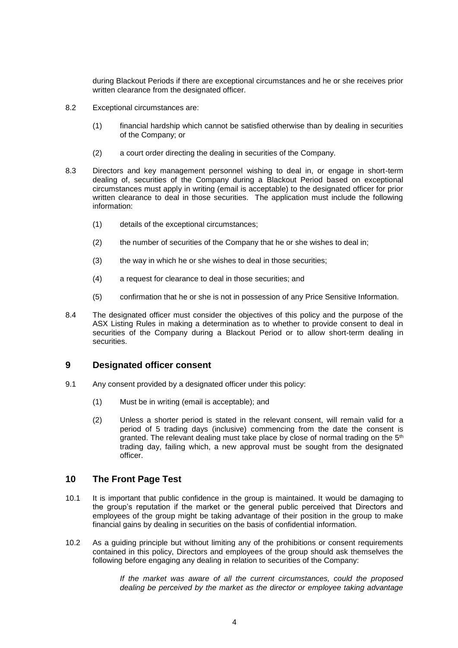during Blackout Periods if there are exceptional circumstances and he or she receives prior written clearance from the designated officer.

- 8.2 Exceptional circumstances are:
	- (1) financial hardship which cannot be satisfied otherwise than by dealing in securities of the Company; or
	- (2) a court order directing the dealing in securities of the Company.
- 8.3 Directors and key management personnel wishing to deal in, or engage in short-term dealing of, securities of the Company during a Blackout Period based on exceptional circumstances must apply in writing (email is acceptable) to the designated officer for prior written clearance to deal in those securities. The application must include the following information:
	- (1) details of the exceptional circumstances;
	- (2) the number of securities of the Company that he or she wishes to deal in;
	- (3) the way in which he or she wishes to deal in those securities;
	- (4) a request for clearance to deal in those securities; and
	- (5) confirmation that he or she is not in possession of any Price Sensitive Information.
- 8.4 The designated officer must consider the objectives of this policy and the purpose of the ASX Listing Rules in making a determination as to whether to provide consent to deal in securities of the Company during a Blackout Period or to allow short-term dealing in securities.

#### **9 Designated officer consent**

- 9.1 Any consent provided by a designated officer under this policy:
	- (1) Must be in writing (email is acceptable); and
	- (2) Unless a shorter period is stated in the relevant consent, will remain valid for a period of 5 trading days (inclusive) commencing from the date the consent is granted. The relevant dealing must take place by close of normal trading on the  $5<sup>th</sup>$ trading day, failing which, a new approval must be sought from the designated officer.

#### **10 The Front Page Test**

- 10.1 It is important that public confidence in the group is maintained. It would be damaging to the group's reputation if the market or the general public perceived that Directors and employees of the group might be taking advantage of their position in the group to make financial gains by dealing in securities on the basis of confidential information.
- 10.2 As a guiding principle but without limiting any of the prohibitions or consent requirements contained in this policy, Directors and employees of the group should ask themselves the following before engaging any dealing in relation to securities of the Company:

*If the market was aware of all the current circumstances, could the proposed dealing be perceived by the market as the director or employee taking advantage*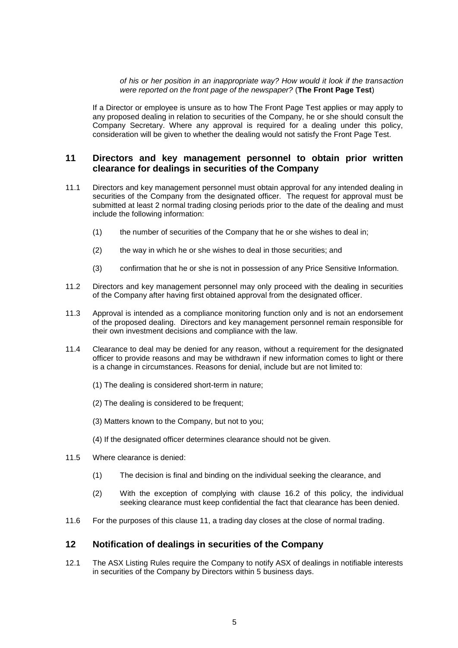#### *of his or her position in an inappropriate way? How would it look if the transaction were reported on the front page of the newspaper?* (**The Front Page Test**)

If a Director or employee is unsure as to how The Front Page Test applies or may apply to any proposed dealing in relation to securities of the Company, he or she should consult the Company Secretary. Where any approval is required for a dealing under this policy, consideration will be given to whether the dealing would not satisfy the Front Page Test.

#### **11 Directors and key management personnel to obtain prior written clearance for dealings in securities of the Company**

- 11.1 Directors and key management personnel must obtain approval for any intended dealing in securities of the Company from the designated officer. The request for approval must be submitted at least 2 normal trading closing periods prior to the date of the dealing and must include the following information:
	- (1) the number of securities of the Company that he or she wishes to deal in;
	- (2) the way in which he or she wishes to deal in those securities; and
	- (3) confirmation that he or she is not in possession of any Price Sensitive Information.
- 11.2 Directors and key management personnel may only proceed with the dealing in securities of the Company after having first obtained approval from the designated officer.
- 11.3 Approval is intended as a compliance monitoring function only and is not an endorsement of the proposed dealing. Directors and key management personnel remain responsible for their own investment decisions and compliance with the law.
- 11.4 Clearance to deal may be denied for any reason, without a requirement for the designated officer to provide reasons and may be withdrawn if new information comes to light or there is a change in circumstances. Reasons for denial, include but are not limited to:
	- (1) The dealing is considered short-term in nature;
	- (2) The dealing is considered to be frequent;
	- (3) Matters known to the Company, but not to you;
	- (4) If the designated officer determines clearance should not be given.
- 11.5 Where clearance is denied:
	- (1) The decision is final and binding on the individual seeking the clearance, and
	- (2) With the exception of complying with clause [16.2](#page-6-0) of this policy, the individual seeking clearance must keep confidential the fact that clearance has been denied.
- 11.6 For the purposes of this clause 11, a trading day closes at the close of normal trading.

#### **12 Notification of dealings in securities of the Company**

12.1 The ASX Listing Rules require the Company to notify ASX of dealings in notifiable interests in securities of the Company by Directors within 5 business days.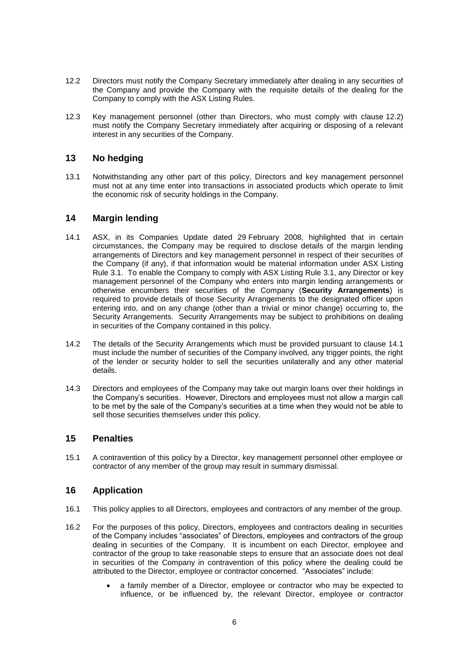- <span id="page-6-1"></span>12.2 Directors must notify the Company Secretary immediately after dealing in any securities of the Company and provide the Company with the requisite details of the dealing for the Company to comply with the ASX Listing Rules.
- 12.3 Key management personnel (other than Directors, who must comply with clause [12.2\)](#page-6-1) must notify the Company Secretary immediately after acquiring or disposing of a relevant interest in any securities of the Company.

### **13 No hedging**

13.1 Notwithstanding any other part of this policy, Directors and key management personnel must not at any time enter into transactions in associated products which operate to limit the economic risk of security holdings in the Company.

#### **14 Margin lending**

- <span id="page-6-2"></span>14.1 ASX, in its Companies Update dated 29 February 2008, highlighted that in certain circumstances, the Company may be required to disclose details of the margin lending arrangements of Directors and key management personnel in respect of their securities of the Company (if any), if that information would be material information under ASX Listing Rule 3.1. To enable the Company to comply with ASX Listing Rule 3.1, any Director or key management personnel of the Company who enters into margin lending arrangements or otherwise encumbers their securities of the Company (**Security Arrangements**) is required to provide details of those Security Arrangements to the designated officer upon entering into, and on any change (other than a trivial or minor change) occurring to, the Security Arrangements. Security Arrangements may be subject to prohibitions on dealing in securities of the Company contained in this policy.
- 14.2 The details of the Security Arrangements which must be provided pursuant to clause [14.1](#page-6-2) must include the number of securities of the Company involved, any trigger points, the right of the lender or security holder to sell the securities unilaterally and any other material details.
- 14.3 Directors and employees of the Company may take out margin loans over their holdings in the Company's securities. However, Directors and employees must not allow a margin call to be met by the sale of the Company's securities at a time when they would not be able to sell those securities themselves under this policy.

#### **15 Penalties**

15.1 A contravention of this policy by a Director, key management personnel other employee or contractor of any member of the group may result in summary dismissal.

#### **16 Application**

- <span id="page-6-0"></span>16.1 This policy applies to all Directors, employees and contractors of any member of the group.
- 16.2 For the purposes of this policy, Directors, employees and contractors dealing in securities of the Company includes "associates" of Directors, employees and contractors of the group dealing in securities of the Company. It is incumbent on each Director, employee and contractor of the group to take reasonable steps to ensure that an associate does not deal in securities of the Company in contravention of this policy where the dealing could be attributed to the Director, employee or contractor concerned. "Associates" include:
	- a family member of a Director, employee or contractor who may be expected to influence, or be influenced by, the relevant Director, employee or contractor